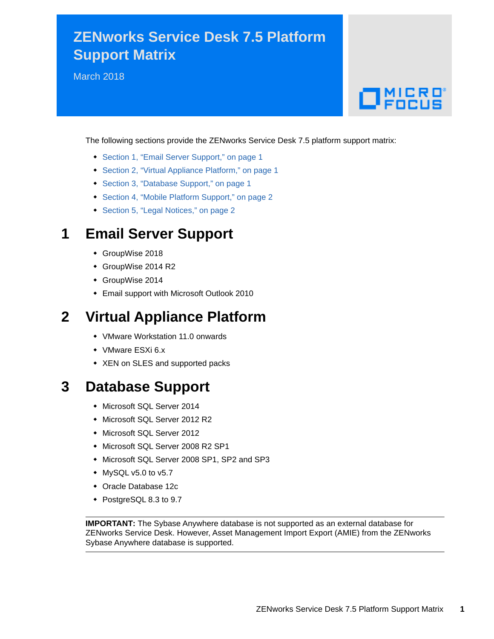## **ZENworks Service Desk 7.5 Platform Support Matrix**

March 2018

# $\Box$ MICRO

The following sections provide the ZENworks Service Desk 7.5 platform support matrix:

- [Section 1, "Email Server Support," on page 1](#page-0-0)
- [Section 2, "Virtual Appliance Platform," on page 1](#page-0-1)
- [Section 3, "Database Support," on page 1](#page-0-2)
- [Section 4, "Mobile Platform Support," on page 2](#page-1-0)
- [Section 5, "Legal Notices," on page 2](#page-1-1)

#### <span id="page-0-0"></span>**1 Email Server Support**

- GroupWise 2018
- GroupWise 2014 R2
- GroupWise 2014
- Email support with Microsoft Outlook 2010

#### <span id="page-0-1"></span>**2 Virtual Appliance Platform**

- VMware Workstation 11.0 onwards
- VMware ESXi 6.x
- XEN on SLES and supported packs

#### <span id="page-0-2"></span>**3 Database Support**

- Microsoft SQL Server 2014
- Microsoft SQL Server 2012 R2
- Microsoft SQL Server 2012
- Microsoft SQL Server 2008 R2 SP1
- Microsoft SQL Server 2008 SP1, SP2 and SP3
- $*$  MySQL v5.0 to v5.7
- Oracle Database 12c
- PostgreSQL 8.3 to 9.7

**IMPORTANT:** The Sybase Anywhere database is not supported as an external database for ZENworks Service Desk. However, Asset Management Import Export (AMIE) from the ZENworks Sybase Anywhere database is supported.